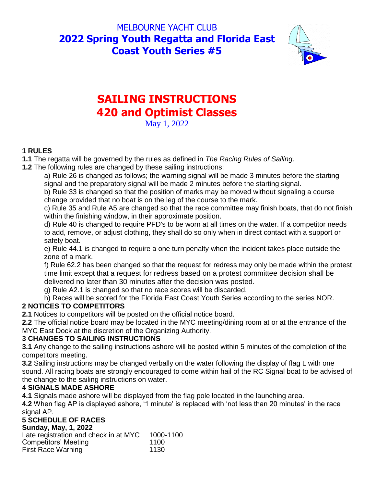# MELBOURNE YACHT CLUB **2022 Spring Youth Regatta and Florida East Coast Youth Series #5**



# **SAILING INSTRUCTIONS 420 and Optimist Classes**

May 1, 2022

### **1 RULES**

**1.1** The regatta will be governed by the rules as defined in *The Racing Rules of Sailing*.

**1.2** The following rules are changed by these sailing instructions:

a) Rule 26 is changed as follows; the warning signal will be made 3 minutes before the starting signal and the preparatory signal will be made 2 minutes before the starting signal.

b) Rule 33 is changed so that the position of marks may be moved without signaling a course change provided that no boat is on the leg of the course to the mark.

c) Rule 35 and Rule A5 are changed so that the race committee may finish boats, that do not finish within the finishing window, in their approximate position.

d) Rule 40 is changed to require PFD's to be worn at all times on the water. If a competitor needs to add, remove, or adjust clothing, they shall do so only when in direct contact with a support or safety boat.

e) Rule 44.1 is changed to require a one turn penalty when the incident takes place outside the zone of a mark.

f) Rule 62.2 has been changed so that the request for redress may only be made within the protest time limit except that a request for redress based on a protest committee decision shall be delivered no later than 30 minutes after the decision was posted.

g) Rule A2.1 is changed so that no race scores will be discarded.

h) Races will be scored for the Florida East Coast Youth Series according to the series NOR.

# **2 NOTICES TO COMPETITORS**

**2.1** Notices to competitors will be posted on the official notice board.

**2.2** The official notice board may be located in the MYC meeting/dining room at or at the entrance of the MYC East Dock at the discretion of the Organizing Authority.

#### **3 CHANGES TO SAILING INSTRUCTIONS**

**3.1** Any change to the sailing instructions ashore will be posted within 5 minutes of the completion of the competitors meeting.

**3.2** Sailing instructions may be changed verbally on the water following the display of flag L with one sound. All racing boats are strongly encouraged to come within hail of the RC Signal boat to be advised of the change to the sailing instructions on water.

#### **4 SIGNALS MADE ASHORE**

**4.1** Signals made ashore will be displayed from the flag pole located in the launching area.

**4.2** When flag AP is displayed ashore, '1 minute' is replaced with 'not less than 20 minutes' in the race signal AP.

# **5 SCHEDULE OF RACES**

**Sunday, May, 1, 2022**

Late registration and check in at MYC 1000-1100<br>Competitors' Meeting Competitors' Meeting 1100 First Race Warning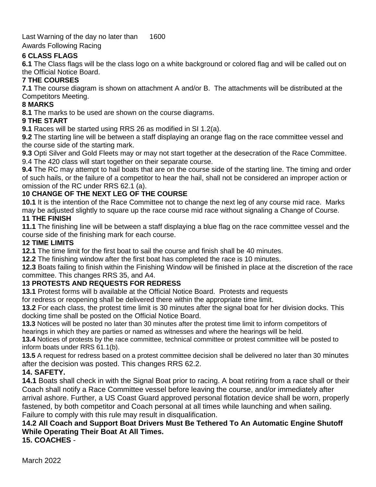Last Warning of the day no later than 1600

Awards Following Racing

#### **6 CLASS FLAGS**

**6.1** The Class flags will be the class logo on a white background or colored flag and will be called out on the Official Notice Board.

## **7 THE COURSES**

**7.1** The course diagram is shown on attachment A and/or B. The attachments will be distributed at the Competitors Meeting.

#### **8 MARKS**

**8.1** The marks to be used are shown on the course diagrams.

#### **9 THE START**

**9.1** Races will be started using RRS 26 as modified in SI 1.2(a).

**9.2** The starting line will be between a staff displaying an orange flag on the race committee vessel and the course side of the starting mark.

**9.3** Opti Silver and Gold Fleets may or may not start together at the desecration of the Race Committee. 9.4 The 420 class will start together on their separate course.

**9.4** The RC may attempt to hail boats that are on the course side of the starting line. The timing and order of such hails, or the failure of a competitor to hear the hail, shall not be considered an improper action or omission of the RC under RRS 62.1 (a).

#### **10 CHANGE OF THE NEXT LEG OF THE COURSE**

**10.1** It is the intention of the Race Committee not to change the next leg of any course mid race. Marks may be adjusted slightly to square up the race course mid race without signaling a Change of Course.

#### **11 THE FINISH**

**11.1** The finishing line will be between a staff displaying a blue flag on the race committee vessel and the course side of the finishing mark for each course.

#### **12 TIME LIMITS**

**12.1** The time limit for the first boat to sail the course and finish shall be 40 minutes.

**12.2** The finishing window after the first boat has completed the race is 10 minutes.

**12.3** Boats failing to finish within the Finishing Window will be finished in place at the discretion of the race committee. This changes RRS 35, and A4.

#### **13 PROTESTS AND REQUESTS FOR REDRESS**

**13.1** Protest forms will b available at the Official Notice Board. Protests and requests

for redress or reopening shall be delivered there within the appropriate time limit.

**13.2** For each class, the protest time limit is 30 minutes after the signal boat for her division docks. This docking time shall be posted on the Official Notice Board.

**13.3** Notices will be posted no later than 30 minutes after the protest time limit to inform competitors of hearings in which they are parties or named as witnesses and where the hearings will be held.

**13.4** Notices of protests by the race committee, technical committee or protest committee will be posted to inform boats under RRS 61.1(b).

**13.5** A request for redress based on a protest committee decision shall be delivered no later than 30 minutes after the decision was posted. This changes RRS 62.2.

#### **14. SAFETY.**

**14.1** Boats shall check in with the Signal Boat prior to racing. A boat retiring from a race shall or their Coach shall notify a Race Committee vessel before leaving the course, and/or immediately after arrival ashore. Further, a US Coast Guard approved personal flotation device shall be worn, properly fastened, by both competitor and Coach personal at all times while launching and when sailing. Failure to comply with this rule may result in disqualification.

#### **14.2 All Coach and Support Boat Drivers Must Be Tethered To An Automatic Engine Shutoff While Operating Their Boat At All Times. 15. COACHES** -

March 2022